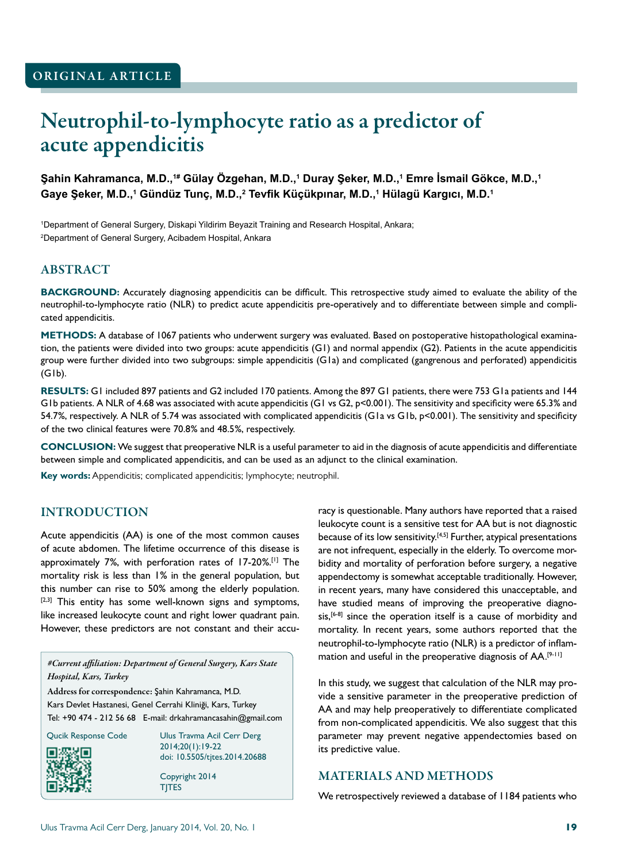# Neutrophil-to-lymphocyte ratio as a predictor of acute appendicitis

**Şahin Kahramanca, M.D.,1# Gülay Özgehan, M.D.,<sup>1</sup> Duray Şeker, M.D.,<sup>1</sup> Emre İsmail Gökce, M.D.,<sup>1</sup> Gaye Şeker, M.D.,<sup>1</sup> Gündüz Tunç, M.D.,<sup>2</sup> Tevfik Küçükpınar, M.D.,<sup>1</sup> Hülagü Kargıcı, M.D.<sup>1</sup>**

1 Department of General Surgery, Diskapi Yildirim Beyazit Training and Research Hospital, Ankara; 2 Department of General Surgery, Acibadem Hospital, Ankara

## ABSTRACT

**BACKGROUND:** Accurately diagnosing appendicitis can be difficult. This retrospective study aimed to evaluate the ability of the neutrophil-to-lymphocyte ratio (NLR) to predict acute appendicitis pre-operatively and to differentiate between simple and complicated appendicitis.

**METHODS:** A database of 1067 patients who underwent surgery was evaluated. Based on postoperative histopathological examination, the patients were divided into two groups: acute appendicitis (G1) and normal appendix (G2). Patients in the acute appendicitis group were further divided into two subgroups: simple appendicitis (G1a) and complicated (gangrenous and perforated) appendicitis (G1b).

RESULTS: G1 included 897 patients and G2 included 170 patients. Among the 897 G1 patients, there were 753 G1a patients and 144 G1b patients. A NLR of 4.68 was associated with acute appendicitis (G1 vs G2, p<0.001). The sensitivity and specificity were 65.3% and 54.7%, respectively. A NLR of 5.74 was associated with complicated appendicitis (G1a vs G1b, p<0.001). The sensitivity and specificity of the two clinical features were 70.8% and 48.5%, respectively.

**CONCLUSION:** We suggest that preoperative NLR is a useful parameter to aid in the diagnosis of acute appendicitis and differentiate between simple and complicated appendicitis, and can be used as an adjunct to the clinical examination.

**Key words:** Appendicitis; complicated appendicitis; lymphocyte; neutrophil.

## INTRODUCTION

Acute appendicitis (AA) is one of the most common causes of acute abdomen. The lifetime occurrence of this disease is approximately 7%, with perforation rates of 17-20%.[1] The mortality risk is less than 1% in the general population, but this number can rise to 50% among the elderly population. [2,3] This entity has some well-known signs and symptoms, like increased leukocyte count and right lower quadrant pain. However, these predictors are not constant and their accu-

*#Current affiliation: Department of General Surgery, Kars State Hospital, Kars, Turkey*

Address for correspondence: Şahin Kahramanca, M.D. Kars Devlet Hastanesi, Genel Cerrahi Kliniği, Kars, Turkey Tel: +90 474 - 212 56 68 E-mail: drkahramancasahin@gmail.com



Qucik Response Code Ulus Travma Acil Cerr Derg 2014;20(1):19-22 doi: 10.5505/tjtes.2014.20688

> Copyright 2014 TJTES

racy is questionable. Many authors have reported that a raised leukocyte count is a sensitive test for AA but is not diagnostic because of its low sensitivity.[4,5] Further, atypical presentations are not infrequent, especially in the elderly. To overcome morbidity and mortality of perforation before surgery, a negative appendectomy is somewhat acceptable traditionally. However, in recent years, many have considered this unacceptable, and have studied means of improving the preoperative diagnosis,<sup>[6-8]</sup> since the operation itself is a cause of morbidity and mortality. In recent years, some authors reported that the neutrophil-to-lymphocyte ratio (NLR) is a predictor of inflammation and useful in the preoperative diagnosis of AA.[9-11]

In this study, we suggest that calculation of the NLR may provide a sensitive parameter in the preoperative prediction of AA and may help preoperatively to differentiate complicated from non-complicated appendicitis. We also suggest that this parameter may prevent negative appendectomies based on its predictive value.

#### MATERIALS AND METHODS

We retrospectively reviewed a database of 1184 patients who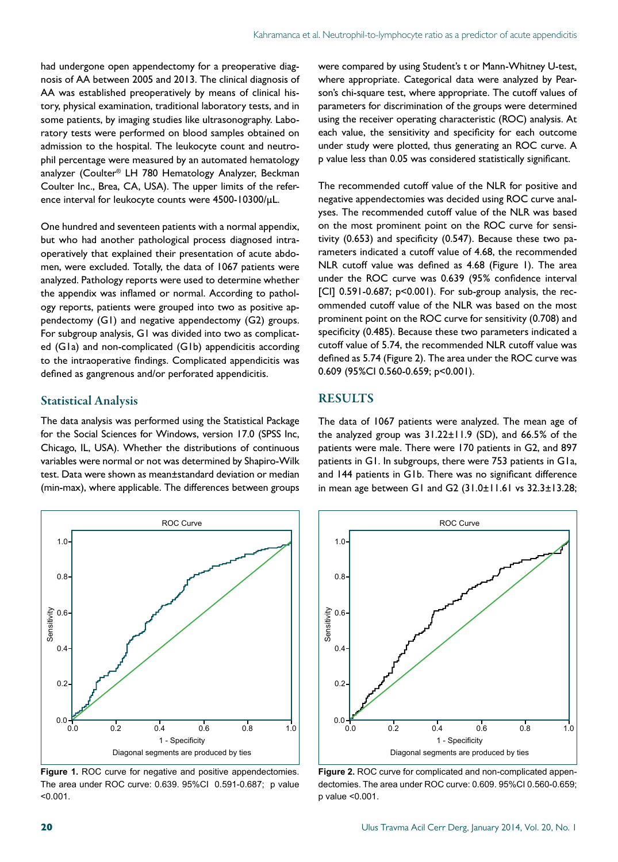had undergone open appendectomy for a preoperative diagnosis of AA between 2005 and 2013. The clinical diagnosis of AA was established preoperatively by means of clinical history, physical examination, traditional laboratory tests, and in some patients, by imaging studies like ultrasonography. Laboratory tests were performed on blood samples obtained on admission to the hospital. The leukocyte count and neutrophil percentage were measured by an automated hematology analyzer (Coulter® LH 780 Hematology Analyzer, Beckman Coulter Inc., Brea, CA, USA). The upper limits of the reference interval for leukocyte counts were 4500-10300/µL.

One hundred and seventeen patients with a normal appendix, but who had another pathological process diagnosed intraoperatively that explained their presentation of acute abdomen, were excluded. Totally, the data of 1067 patients were analyzed. Pathology reports were used to determine whether the appendix was inflamed or normal. According to pathology reports, patients were grouped into two as positive appendectomy (G1) and negative appendectomy (G2) groups. For subgroup analysis, G1 was divided into two as complicated (G1a) and non-complicated (G1b) appendicitis according to the intraoperative findings. Complicated appendicitis was defined as gangrenous and/or perforated appendicitis.

#### Statistical Analysis

The data analysis was performed using the Statistical Package for the Social Sciences for Windows, version 17.0 (SPSS Inc, Chicago, IL, USA). Whether the distributions of continuous variables were normal or not was determined by Shapiro-Wilk test. Data were shown as mean±standard deviation or median (min-max), where applicable. The differences between groups



**Figure 1. ROC curve for negative and positive appendectomies.** The area under ROC curve: 0.639. 95%CI 0.591-0.687; p value <0.001.

were compared by using Student's t or Mann-Whitney U-test, where appropriate. Categorical data were analyzed by Pearson's chi-square test, where appropriate. The cutoff values of parameters for discrimination of the groups were determined using the receiver operating characteristic (ROC) analysis. At each value, the sensitivity and specificity for each outcome under study were plotted, thus generating an ROC curve. A p value less than 0.05 was considered statistically significant.

The recommended cutoff value of the NLR for positive and negative appendectomies was decided using ROC curve analyses. The recommended cutoff value of the NLR was based on the most prominent point on the ROC curve for sensitivity (0.653) and specificity (0.547). Because these two parameters indicated a cutoff value of 4.68, the recommended NLR cutoff value was defined as 4.68 (Figure 1). The area under the ROC curve was 0.639 (95% confidence interval  $[CI]$  0.591-0.687;  $p<0.001$ ). For sub-group analysis, the recommended cutoff value of the NLR was based on the most prominent point on the ROC curve for sensitivity (0.708) and specificity (0.485). Because these two parameters indicated a cutoff value of 5.74, the recommended NLR cutoff value was defined as 5.74 (Figure 2). The area under the ROC curve was 0.609 (95%CI 0.560-0.659; p<0.001).

#### **RESULTS**

The data of 1067 patients were analyzed. The mean age of the analyzed group was 31.22±11.9 (SD), and 66.5% of the patients were male. There were 170 patients in G2, and 897 patients in G1. In subgroups, there were 753 patients in G1a, and 144 patients in G1b. There was no significant difference in mean age between G1 and G2 (31.0±11.61 vs 32.3±13.28;



**Figure 2.** ROC curve for complicated and non-complicated appendectomies. The area under ROC curve: 0.609. 95%CI 0.560-0.659; p value <0.001.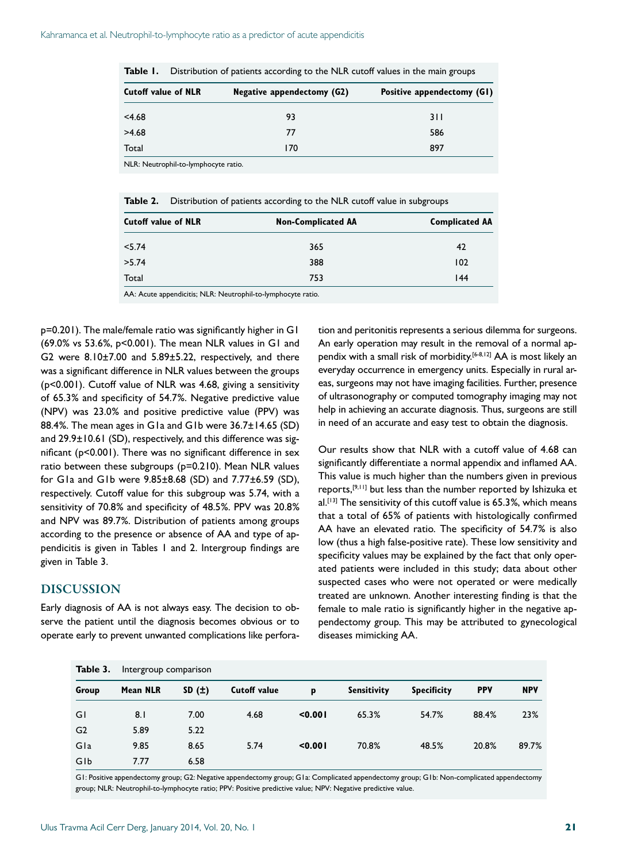| <b>Cutoff value of NLR</b> | Negative appendectomy (G2) | Positive appendectomy (GI) |  |  |
|----------------------------|----------------------------|----------------------------|--|--|
| < 4.68                     | 93                         | 3 I I                      |  |  |
| >4.68                      | 77                         | 586                        |  |  |
| Total                      | 170                        | 897                        |  |  |

|  |  | Table 1. Distribution of patients according to the NLR cutoff values in the main groups |  |  |  |  |
|--|--|-----------------------------------------------------------------------------------------|--|--|--|--|
|--|--|-----------------------------------------------------------------------------------------|--|--|--|--|

| <b>Table 2.</b> Distribution of patients according to the NLR cutoff value in subgroups |
|-----------------------------------------------------------------------------------------|
|                                                                                         |

| <b>Cutoff value of NLR</b> | <b>Non-Complicated AA</b> | <b>Complicated AA</b> |  |  |
|----------------------------|---------------------------|-----------------------|--|--|
| < 5.74                     | 365                       | 42                    |  |  |
| >5.74                      | 388                       | 102                   |  |  |
| Total                      | 753                       | 44                    |  |  |

AA: Acute appendicitis; NLR: Neutrophil-to-lymphocyte ratio.

p=0.201). The male/female ratio was significantly higher in G1 (69.0% vs 53.6%, p<0.001). The mean NLR values in G1 and G2 were 8.10±7.00 and 5.89±5.22, respectively, and there was a significant difference in NLR values between the groups (p<0.001). Cutoff value of NLR was 4.68, giving a sensitivity of 65.3% and specificity of 54.7%. Negative predictive value (NPV) was 23.0% and positive predictive value (PPV) was 88.4%. The mean ages in G1a and G1b were 36.7±14.65 (SD) and 29.9±10.61 (SD), respectively, and this difference was significant (p<0.001). There was no significant difference in sex ratio between these subgroups (p=0.210). Mean NLR values for G1a and G1b were 9.85±8.68 (SD) and 7.77±6.59 (SD), respectively. Cutoff value for this subgroup was 5.74, with a sensitivity of 70.8% and specificity of 48.5%. PPV was 20.8% and NPV was 89.7%. Distribution of patients among groups according to the presence or absence of AA and type of appendicitis is given in Tables 1 and 2. Intergroup findings are given in Table 3.

#### DISCUSSION

Early diagnosis of AA is not always easy. The decision to observe the patient until the diagnosis becomes obvious or to operate early to prevent unwanted complications like perforation and peritonitis represents a serious dilemma for surgeons. An early operation may result in the removal of a normal appendix with a small risk of morbidity.[6-8,12] AA is most likely an everyday occurrence in emergency units. Especially in rural areas, surgeons may not have imaging facilities. Further, presence of ultrasonography or computed tomography imaging may not help in achieving an accurate diagnosis. Thus, surgeons are still in need of an accurate and easy test to obtain the diagnosis.

Our results show that NLR with a cutoff value of 4.68 can significantly differentiate a normal appendix and inflamed AA. This value is much higher than the numbers given in previous reports,[9,11] but less than the number reported by Ishizuka et  $al.$ <sup>[13]</sup> The sensitivity of this cutoff value is 65.3%, which means that a total of 65% of patients with histologically confirmed AA have an elevated ratio. The specificity of 54.7% is also low (thus a high false-positive rate). These low sensitivity and specificity values may be explained by the fact that only operated patients were included in this study; data about other suspected cases who were not operated or were medically treated are unknown. Another interesting finding is that the female to male ratio is significantly higher in the negative appendectomy group. This may be attributed to gynecological diseases mimicking AA.

| Table 3.       | Intergroup comparison |       |                     |         |                    |                    |            |            |
|----------------|-----------------------|-------|---------------------|---------|--------------------|--------------------|------------|------------|
| Group          | Mean NLR              | SD(t) | <b>Cutoff value</b> | p       | <b>Sensitivity</b> | <b>Specificity</b> | <b>PPV</b> | <b>NPV</b> |
| GI             | 8.1                   | 7.00  | 4.68                | < 0.001 | 65.3%              | 54.7%              | 88.4%      | 23%        |
| G <sub>2</sub> | 5.89                  | 5.22  |                     |         |                    |                    |            |            |
| Gla            | 9.85                  | 8.65  | 5.74                | < 0.001 | 70.8%              | 48.5%              | 20.8%      | 89.7%      |
| GIb            | 7.77                  | 6.58  |                     |         |                    |                    |            |            |

G1: Positive appendectomy group; G2: Negative appendectomy group; G1a: Complicated appendectomy group; G1b: Non-complicated appendectomy group; NLR: Neutrophil-to-lymphocyte ratio; PPV: Positive predictive value; NPV: Negative predictive value.